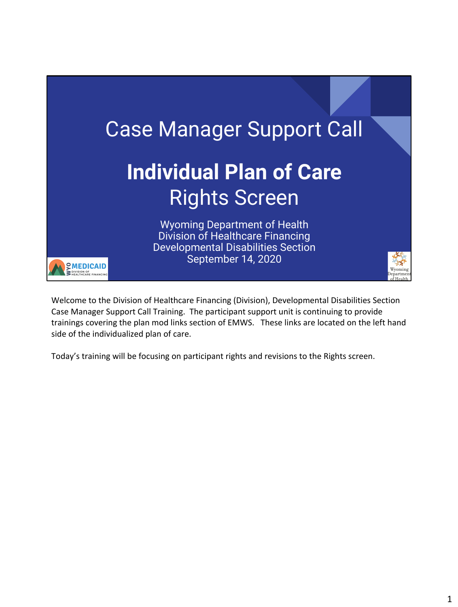

Welcome to the Division of Healthcare Financing (Division), Developmental Disabilities Section Case Manager Support Call Training. The participant support unit is continuing to provide trainings covering the plan mod links section of EMWS. These links are located on the left hand side of the individualized plan of care.

Today's training will be focusing on participant rights and revisions to the Rights screen.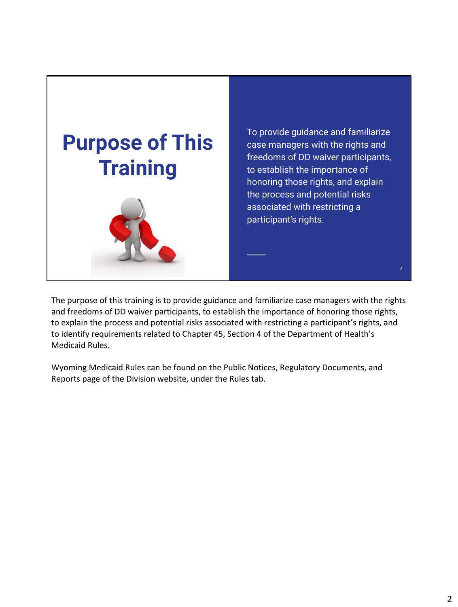

To provide guidance and familiarize case managers with the rights and freedoms of DD waiver participants, to establish the importance of honoring those rights, and explain the process and potential risks associated with restricting a participant's rights.

The purpose of this training is to provide guidance and familiarize case managers with the rights and freedoms of DD waiver participants, to establish the importance of honoring those rights, to explain the process and potential risks associated with restricting a participant's rights, and to identify requirements related to Chapter 45, Section 4 of the Department of Health's Medicaid Rules.

Wyoming Medicaid Rules can be found on the Public Notices, Regulatory Documents, and Reports page of the Division website, under the Rules tab.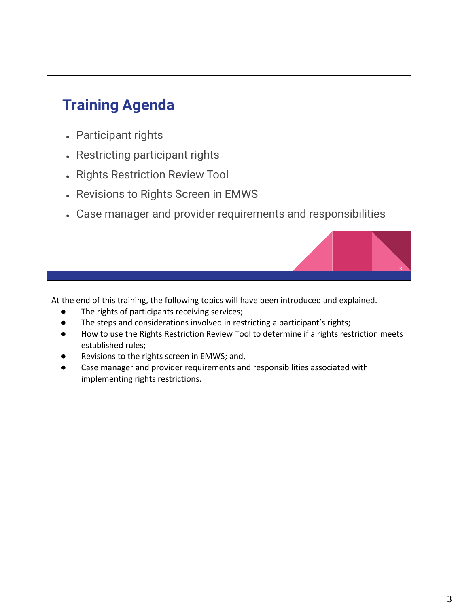# **Training Agenda**

- Participant rights
- Restricting participant rights
- Rights Restriction Review Tool
- Revisions to Rights Screen in EMWS
- Case manager and provider requirements and responsibilities

At the end of this training, the following topics will have been introduced and explained.

- The rights of participants receiving services;
- The steps and considerations involved in restricting a participant's rights;
- How to use the Rights Restriction Review Tool to determine if a rights restriction meets established rules;
- Revisions to the rights screen in EMWS; and,
- Case manager and provider requirements and responsibilities associated with implementing rights restrictions.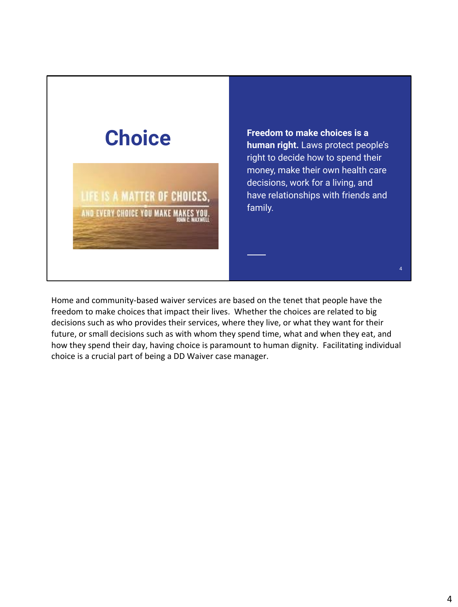

Home and community-based waiver services are based on the tenet that people have the freedom to make choices that impact their lives. Whether the choices are related to big decisions such as who provides their services, where they live, or what they want for their future, or small decisions such as with whom they spend time, what and when they eat, and how they spend their day, having choice is paramount to human dignity. Facilitating individual choice is a crucial part of being a DD Waiver case manager.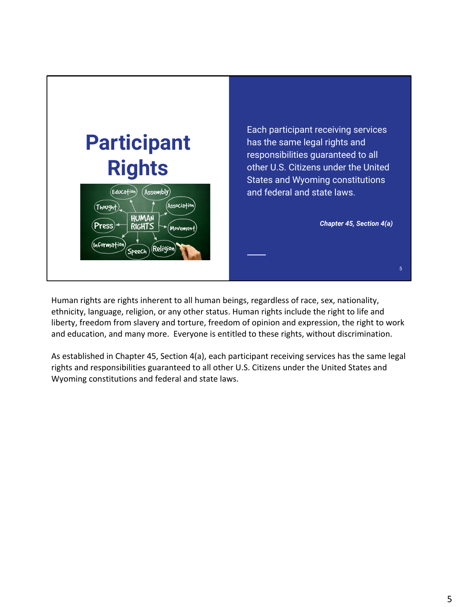

Each participant receiving services has the same legal rights and responsibilities guaranteed to all other U.S. Citizens under the United States and Wyoming constitutions and federal and state laws.

*Chapter 45, Section 4(a)*

5

Human rights are rights inherent to all human beings, regardless of race, sex, nationality, ethnicity, language, religion, or any other status. Human rights include the right to life and liberty, freedom from slavery and torture, freedom of opinion and expression, the right to work and education, and many more. Everyone is entitled to these rights, without discrimination.

As established in Chapter 45, Section 4(a), each participant receiving services has the same legal rights and responsibilities guaranteed to all other U.S. Citizens under the United States and Wyoming constitutions and federal and state laws.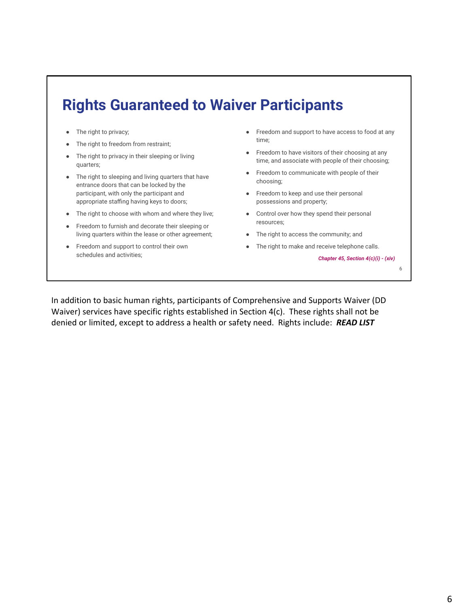## **Rights Guaranteed to Waiver Participants**

- The right to privacy;
- The right to freedom from restraint;
- The right to privacy in their sleeping or living quarters;
- The right to sleeping and living quarters that have entrance doors that can be locked by the participant, with only the participant and appropriate staffing having keys to doors;
- The right to choose with whom and where they live;
- Freedom to furnish and decorate their sleeping or living quarters within the lease or other agreement;
- Freedom and support to control their own schedules and activities;
- Freedom and support to have access to food at any time;
- Freedom to have visitors of their choosing at any time, and associate with people of their choosing;
- Freedom to communicate with people of their choosing;
- Freedom to keep and use their personal possessions and property;
- Control over how they spend their personal resources;
- The right to access the community; and
- The right to make and receive telephone calls.

*Chapter 45, Section 4(c)(i) - (xiv)*

6

In addition to basic human rights, participants of Comprehensive and Supports Waiver (DD Waiver) services have specific rights established in Section  $4(c)$ . These rights shall not be denied or limited, except to address a health or safety need. Rights include: *READ LIST*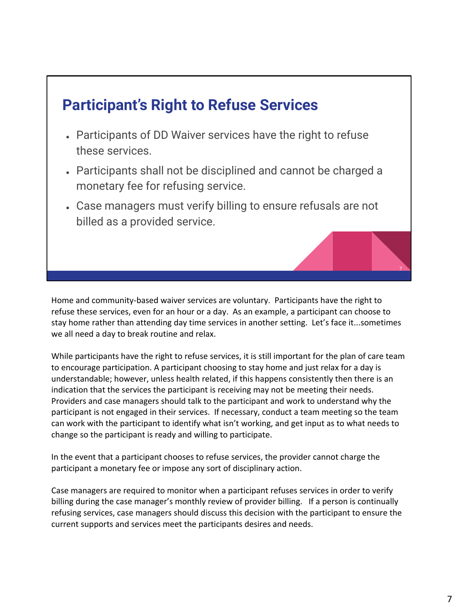### **Participant's Right to Refuse Services**

- Participants of DD Waiver services have the right to refuse these services.
- Participants shall not be disciplined and cannot be charged a monetary fee for refusing service.
- Case managers must verify billing to ensure refusals are not billed as a provided service.

Home and community-based waiver services are voluntary. Participants have the right to refuse these services, even for an hour or a day. As an example, a participant can choose to stay home rather than attending day time services in another setting. Let's face it...sometimes we all need a day to break routine and relax.

While participants have the right to refuse services, it is still important for the plan of care team to encourage participation. A participant choosing to stay home and just relax for a day is understandable; however, unless health related, if this happens consistently then there is an indication that the services the participant is receiving may not be meeting their needs. Providers and case managers should talk to the participant and work to understand why the participant is not engaged in their services. If necessary, conduct a team meeting so the team can work with the participant to identify what isn't working, and get input as to what needs to change so the participant is ready and willing to participate.

In the event that a participant chooses to refuse services, the provider cannot charge the participant a monetary fee or impose any sort of disciplinary action.

Case managers are required to monitor when a participant refuses services in order to verify billing during the case manager's monthly review of provider billing. If a person is continually refusing services, case managers should discuss this decision with the participant to ensure the current supports and services meet the participants desires and needs.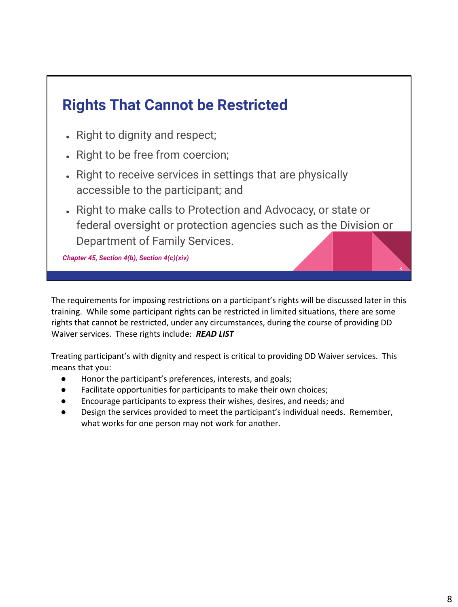## **Rights That Cannot be Restricted**

- Right to dignity and respect;
- Right to be free from coercion;
- Right to receive services in settings that are physically accessible to the participant; and
- Right to make calls to Protection and Advocacy, or state or federal oversight or protection agencies such as the Division or Department of Family Services.

*Chapter 45, Section 4(b), Section 4(c)(xiv)*

The requirements for imposing restrictions on a participant's rights will be discussed later in this training. While some participant rights can be restricted in limited situations, there are some rights that cannot be restricted, under any circumstances, during the course of providing DD Waiver services. These rights include: *READ LIST*

Treating participant's with dignity and respect is critical to providing DD Waiver services. This means that you:

- Honor the participant's preferences, interests, and goals;
- Facilitate opportunities for participants to make their own choices;
- Encourage participants to express their wishes, desires, and needs; and
- Design the services provided to meet the participant's individual needs. Remember, what works for one person may not work for another.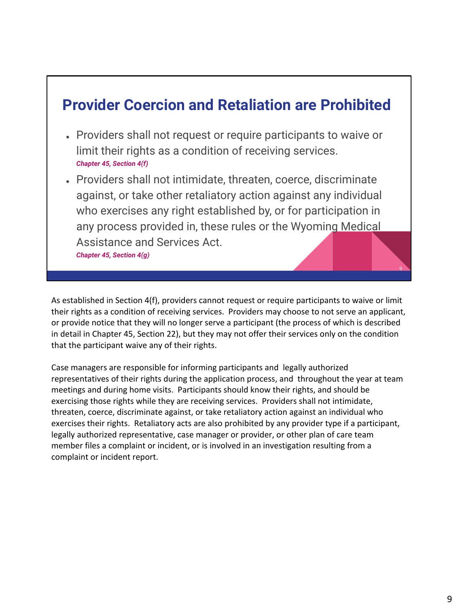#### **Provider Coercion and Retaliation are Prohibited**

- Providers shall not request or require participants to waive or limit their rights as a condition of receiving services. *Chapter 45, Section 4(f)*
- Providers shall not intimidate, threaten, coerce, discriminate against, or take other retaliatory action against any individual who exercises any right established by, or for participation in any process provided in, these rules or the Wyoming Medical Assistance and Services Act. *Chapter 45, Section 4(g)*

As established in Section 4(f), providers cannot request or require participants to waive or limit their rights as a condition of receiving services. Providers may choose to not serve an applicant, or provide notice that they will no longer serve a participant (the process of which is described in detail in Chapter 45, Section 22), but they may not offer their services only on the condition that the participant waive any of their rights.

Case managers are responsible for informing participants and legally authorized representatives of their rights during the application process, and throughout the year at team meetings and during home visits. Participants should know their rights, and should be exercising those rights while they are receiving services. Providers shall not intimidate, threaten, coerce, discriminate against, or take retaliatory action against an individual who exercises their rights. Retaliatory acts are also prohibited by any provider type if a participant, legally authorized representative, case manager or provider, or other plan of care team member files a complaint or incident, or is involved in an investigation resulting from a complaint or incident report.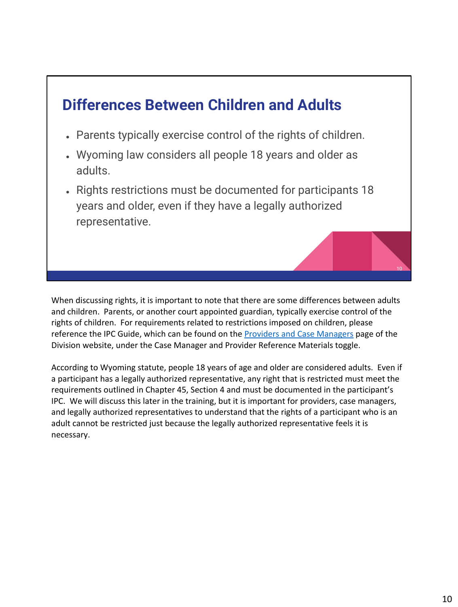## **Differences Between Children and Adults**

- Parents typically exercise control of the rights of children.
- Wyoming law considers all people 18 years and older as adults.
- Rights restrictions must be documented for participants 18 years and older, even if they have a legally authorized representative.

When discussing rights, it is important to note that there are some differences between adults and children. Parents, or another court appointed guardian, typically exercise control of the rights of children. For requirements related to restrictions imposed on children, please reference the IPC Guide, which can be found on the [Providers and Case Managers](https://health.wyo.gov/healthcarefin/dd/providersandcasemanagers/) page of the Division website, under the Case Manager and Provider Reference Materials toggle.

According to Wyoming statute, people 18 years of age and older are considered adults. Even if a participant has a legally authorized representative, any right that is restricted must meet the requirements outlined in Chapter 45, Section 4 and must be documented in the participant's IPC. We will discuss this later in the training, but it is important for providers, case managers, and legally authorized representatives to understand that the rights of a participant who is an adult cannot be restricted just because the legally authorized representative feels it is necessary.

 $10 -$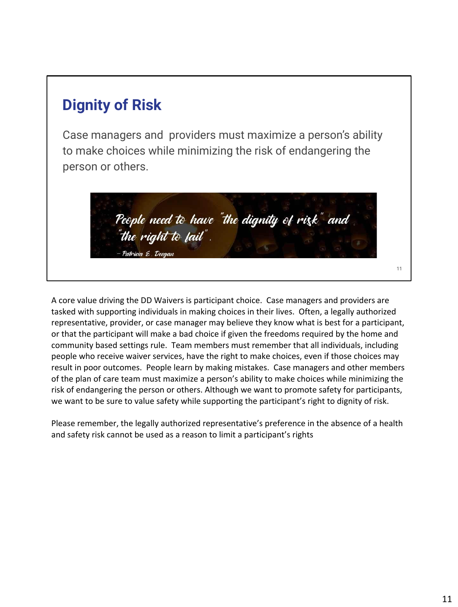# **Dignity of Risk**

Case managers and providers must maximize a person's ability to make choices while minimizing the risk of endangering the person or others.

People need to have "the dignity of rizk" and "the right to fail" . - Patricia E. Deegan

A core value driving the DD Waivers is participant choice. Case managers and providers are tasked with supporting individuals in making choices in their lives. Often, a legally authorized representative, provider, or case manager may believe they know what is best for a participant, or that the participant will make a bad choice if given the freedoms required by the home and community based settings rule. Team members must remember that all individuals, including people who receive waiver services, have the right to make choices, even if those choices may result in poor outcomes. People learn by making mistakes. Case managers and other members of the plan of care team must maximize a person's ability to make choices while minimizing the risk of endangering the person or others. Although we want to promote safety for participants, we want to be sure to value safety while supporting the participant's right to dignity of risk.

Please remember, the legally authorized representative's preference in the absence of a health and safety risk cannot be used as a reason to limit a participant's rights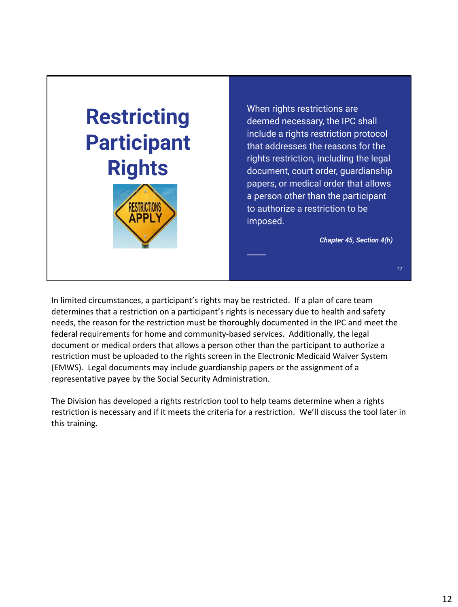

In limited circumstances, a participant's rights may be restricted. If a plan of care team determines that a restriction on a participant's rights is necessary due to health and safety needs, the reason for the restriction must be thoroughly documented in the IPC and meet the federal requirements for home and community-based services. Additionally, the legal document or medical orders that allows a person other than the participant to authorize a restriction must be uploaded to the rights screen in the Electronic Medicaid Waiver System (EMWS). Legal documents may include guardianship papers or the assignment of a representative payee by the Social Security Administration.

The Division has developed a rights restriction tool to help teams determine when a rights restriction is necessary and if it meets the criteria for a restriction. We'll discuss the tool later in this training.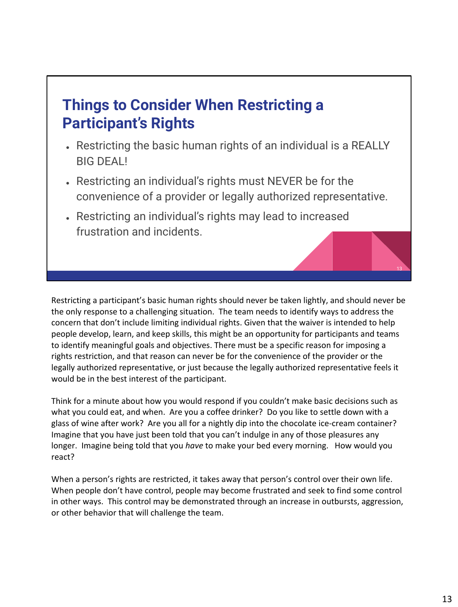## **Things to Consider When Restricting a Participant's Rights**

- Restricting the basic human rights of an individual is a REALLY BIG DEAL!
- Restricting an individual's rights must NEVER be for the convenience of a provider or legally authorized representative.
- Restricting an individual's rights may lead to increased frustration and incidents.

Restricting a participant's basic human rights should never be taken lightly, and should never be the only response to a challenging situation. The team needs to identify ways to address the concern that don't include limiting individual rights. Given that the waiver is intended to help people develop, learn, and keep skills, this might be an opportunity for participants and teams to identify meaningful goals and objectives. There must be a specific reason for imposing a rights restriction, and that reason can never be for the convenience of the provider or the legally authorized representative, or just because the legally authorized representative feels it would be in the best interest of the participant.

Think for a minute about how you would respond if you couldn't make basic decisions such as what you could eat, and when. Are you a coffee drinker? Do you like to settle down with a glass of wine after work? Are you all for a nightly dip into the chocolate ice-cream container? Imagine that you have just been told that you can't indulge in any of those pleasures any longer. Imagine being told that you *have* to make your bed every morning. How would you react?

When a person's rights are restricted, it takes away that person's control over their own life. When people don't have control, people may become frustrated and seek to find some control in other ways. This control may be demonstrated through an increase in outbursts, aggression, or other behavior that will challenge the team.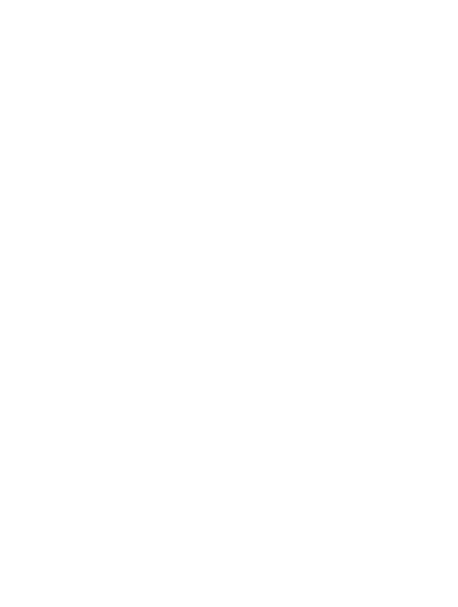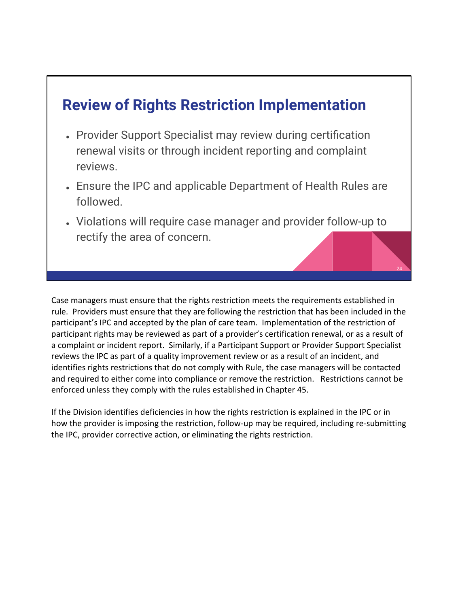#### **Review of Rights Restriction Implementation**

- Provider Support Specialist may review during certification renewal visits or through incident reporting and complaint reviews.
- Ensure the IPC and applicable Department of Health Rules are followed.
- Violations will require case manager and provider follow-up to rectify the area of concern.

24

Case managers must ensure that the rights restriction meets the requirements established in rule. Providers must ensure that they are following the restriction that has been included in the participant's IPC and accepted by the plan of care team. Implementation of the restriction of participant rights may be reviewed as part of a provider's certification renewal, or as a result of a complaint or incident report. Similarly, if a Participant Support or Provider Support Specialist reviews the IPC as part of a quality improvement review or as a result of an incident, and identifies rights restrictions that do not comply with Rule, the case managers will be contacted and required to either come into compliance or remove the restriction. Restrictions cannot be enforced unless they comply with the rules established in Chapter 45.

If the Division identifies deficiencies in how the rights restriction is explained in the IPC or in how the provider is imposing the restriction, follow-up may be required, including re-submitting the IPC, provider corrective action, or eliminating the rights restriction.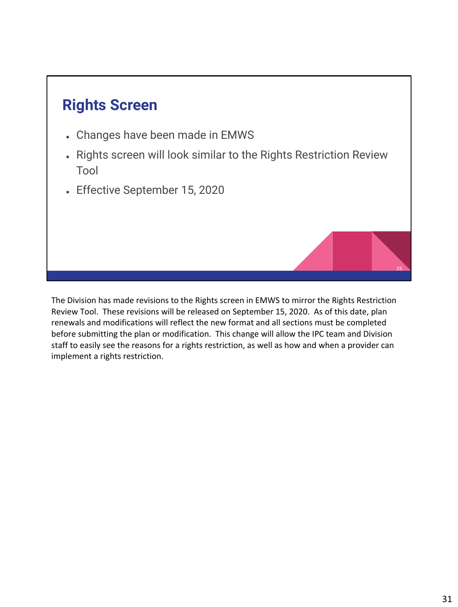## **Rights Screen**

- Changes have been made in EMWS
- Rights screen will look similar to the Rights Restriction Review Tool
- Effective September 15, 2020

The Division has made revisions to the Rights screen in EMWS to mirror the Rights Restriction Review Tool. These revisions will be released on September 15, 2020. As of this date, plan renewals and modifications will reflect the new format and all sections must be completed before submitting the plan or modification. This change will allow the IPC team and Division staff to easily see the reasons for a rights restriction, as well as how and when a provider can implement a rights restriction.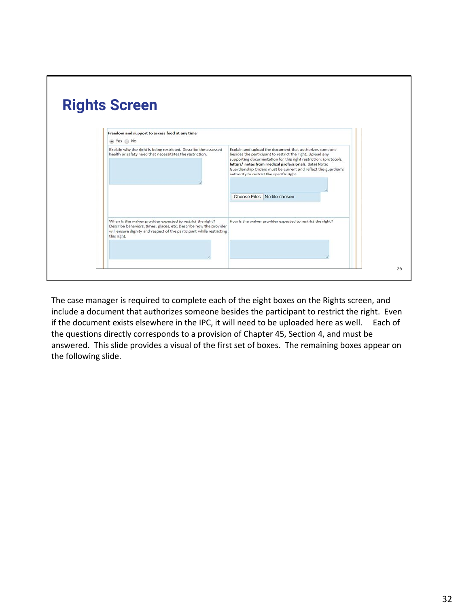| Freedom and support to access food at any time                                                                                                                                                                          |                                                                                                                                                                                                                                                                                                                                                                                                  |
|-------------------------------------------------------------------------------------------------------------------------------------------------------------------------------------------------------------------------|--------------------------------------------------------------------------------------------------------------------------------------------------------------------------------------------------------------------------------------------------------------------------------------------------------------------------------------------------------------------------------------------------|
| O Yes O No<br>Explain why the right is being restricted. Describe the assessed<br>health or safety need that necessitates the restriction.                                                                              | Explain and upload the document that authorizes someone<br>besides the participant to restrict the right. Upload any<br>supporting documentation for this right restriction: (protocols,<br>letters/ notes from medical professionals, data) Note:<br>Guardianship Orders must be current and reflect the guardian's<br>authority to restrict the specific right.<br>Choose Files No file chosen |
| When is the waiver provider expected to restrict the right?<br>Describe behaviors, times, places, etc. Describe how the provider<br>will ensure dignity and respect of the participant while restricting<br>this right. | How is the waiver provider expected to restrict the right?                                                                                                                                                                                                                                                                                                                                       |

The case manager is required to complete each of the eight boxes on the Rights screen, and include a document that authorizes someone besides the participant to restrict the right. Even if the document exists elsewhere in the IPC, it will need to be uploaded here as well. Each of the questions directly corresponds to a provision of Chapter 45, Section 4, and must be answered. This slide provides a visual of the first set of boxes. The remaining boxes appear on the following slide.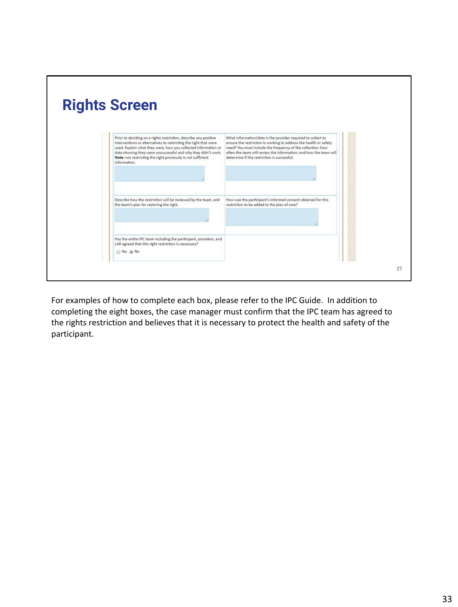| Prior to deciding on a rights restriction, describe any positive<br>interventions or alternatives to restricting the right that were<br>used. Explain what they were, how you collected information or<br>data showing they were unsuccessful and why they didn't work.<br>Note: not restricting the right previously is not sufficient<br>information. | What information/data is the provider required to collect to<br>ensure the restriction is working to address the health or safety<br>need? You must include the frequency of the collection; how<br>often the team will review the information; and how the team will<br>determine if the restriction is successful. |
|---------------------------------------------------------------------------------------------------------------------------------------------------------------------------------------------------------------------------------------------------------------------------------------------------------------------------------------------------------|----------------------------------------------------------------------------------------------------------------------------------------------------------------------------------------------------------------------------------------------------------------------------------------------------------------------|
| Describe how the restriction will be reviewed by the team, and<br>the team's plan for restoring the right.                                                                                                                                                                                                                                              | How was the participant's informed consent obtained for this<br>restriction to be added to the plan of care?                                                                                                                                                                                                         |
| Has the entire IPC team including the participant, providers, and<br>LAR agreed that this right restriction is necessary?<br>Yes @ No                                                                                                                                                                                                                   |                                                                                                                                                                                                                                                                                                                      |

For examples of how to complete each box, please refer to the IPC Guide. In addition to completing the eight boxes, the case manager must confirm that the IPC team has agreed to the rights restriction and believes that it is necessary to protect the health and safety of the participant.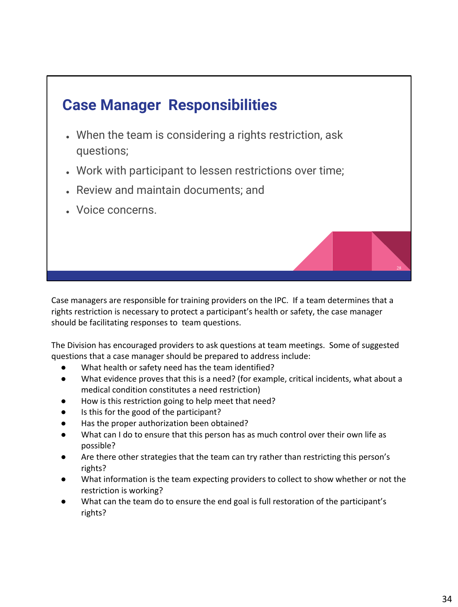## **Case Manager Responsibilities**

- When the team is considering a rights restriction, ask questions;
- Work with participant to lessen restrictions over time;
- Review and maintain documents; and
- . Voice concerns.

Case managers are responsible for training providers on the IPC. If a team determines that a rights restriction is necessary to protect a participant's health or safety, the case manager should be facilitating responses to team questions.

The Division has encouraged providers to ask questions at team meetings. Some of suggested questions that a case manager should be prepared to address include:

- What health or safety need has the team identified?
- What evidence proves that this is a need? (for example, critical incidents, what about a medical condition constitutes a need restriction)
- How is this restriction going to help meet that need?
- Is this for the good of the participant?
- Has the proper authorization been obtained?
- What can I do to ensure that this person has as much control over their own life as possible?
- Are there other strategies that the team can try rather than restricting this person's rights?
- What information is the team expecting providers to collect to show whether or not the restriction is working?
- What can the team do to ensure the end goal is full restoration of the participant's rights?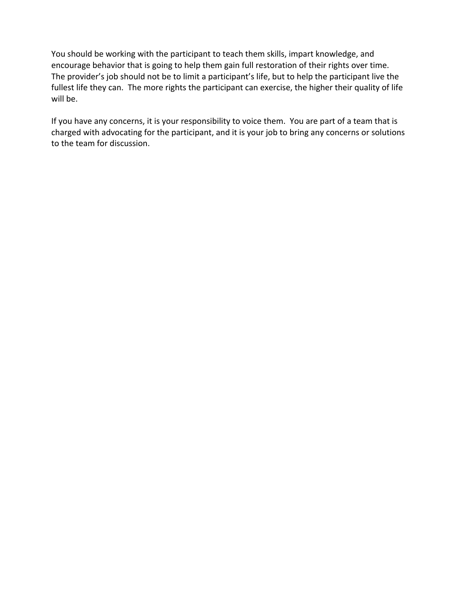You should be working with the participant to teach them skills, impart knowledge, and encourage behavior that is going to help them gain full restoration of their rights over time. The provider's job should not be to limit a participant's life, but to help the participant live the fullest life they can. The more rights the participant can exercise, the higher their quality of life will be.

If you have any concerns, it is your responsibility to voice them. You are part of a team that is charged with advocating for the participant, and it is your job to bring any concerns or solutions to the team for discussion.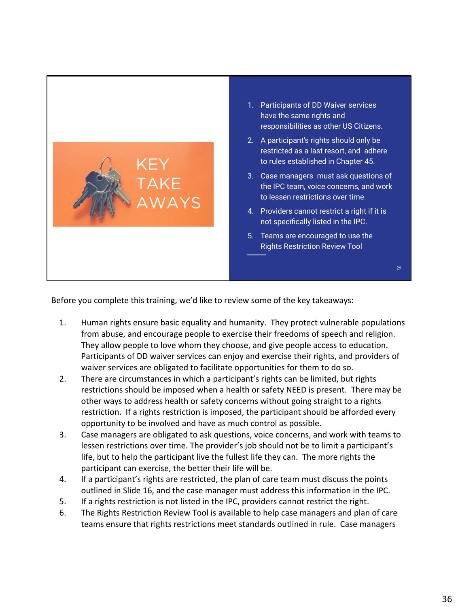

- 1. Participants of DD Waiver services have the same rights and responsibilities as other US Citizens.
- 2. A participant's rights should only be restricted as a last resort, and adhere to rules established in Chapter 45.
- 3. Case managers must ask questions of the IPC team, voice concerns, and work to lessen restrictions over time.
- 4. Providers cannot restrict a right if it is not specifically listed in the IPC.
- 5. Teams are encouraged to use the Rights Restriction Review Tool

29

Before you complete this training, we'd like to review some of the key takeaways:

- 1. Human rights ensure basic equality and humanity. They protect vulnerable populations from abuse, and encourage people to exercise their freedoms of speech and religion. They allow people to love whom they choose, and give people access to education. Participants of DD waiver services can enjoy and exercise their rights, and providers of waiver services are obligated to facilitate opportunities for them to do so.
- 2. There are circumstances in which a participant's rights can be limited, but rights restrictions should be imposed when a health or safety NEED is present. There may be other ways to address health or safety concerns without going straight to a rights restriction. If a rights restriction is imposed, the participant should be afforded every opportunity to be involved and have as much control as possible.
- 3. Case managers are obligated to ask questions, voice concerns, and work with teams to lessen restrictions over time. The provider's job should not be to limit a participant's life, but to help the participant live the fullest life they can. The more rights the participant can exercise, the better their life will be.
- 4. If a participant's rights are restricted, the plan of care team must discuss the points outlined in Slide 16, and the case manager must address this information in the IPC.
- 5. If a rights restriction is not listed in the IPC, providers cannot restrict the right.
- 6. The Rights Restriction Review Tool is available to help case managers and plan of care teams ensure that rights restrictions meet standards outlined in rule. Case managers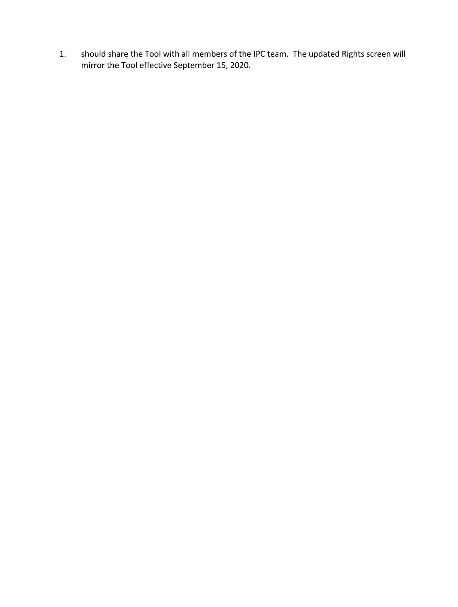1. should share the Tool with all members of the IPC team. The updated Rights screen will mirror the Tool effective September 15, 2020.